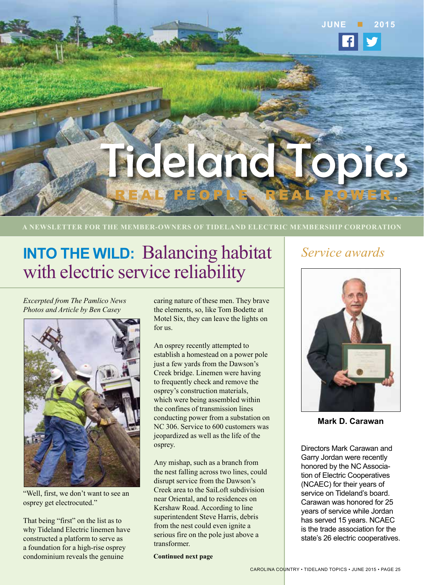# delandedop REAL PEOPLE. REAL POWER.

**A NEWSLETTER FOR THE MEMBER-OWNERS OF TIDELAND ELECTRIC MEMBERSHIP CORPORATION**

## **INTO THE WILD:** Balancing habitat with electric service reliability

*Excerpted from The Pamlico News Photos and Article by Ben Casey*



"Well, first, we don't want to see an osprey get electrocuted."

That being "first" on the list as to why Tideland Electric linemen have constructed a platform to serve as a foundation for a high-rise osprey condominium reveals the genuine

caring nature of these men. They brave the elements, so, like Tom Bodette at Motel Six, they can leave the lights on for us.

An osprey recently attempted to establish a homestead on a power pole just a few yards from the Dawson's Creek bridge. Linemen were having to frequently check and remove the osprey's construction materials, which were being assembled within the confines of transmission lines conducting power from a substation on NC 306. Service to 600 customers was jeopardized as well as the life of the osprey.

Any mishap, such as a branch from the nest falling across two lines, could disrupt service from the Dawson's Creek area to the SaiLoft subdivision near Oriental, and to residences on Kershaw Road. According to line superintendent Steve Harris, debris from the nest could even ignite a serious fire on the pole just above a transformer.

**Continued next page**

### *Service awards*

**JUNE 2015**



**Mark D. Carawan**

Directors Mark Carawan and Garry Jordan were recently honored by the NC Association of Electric Cooperatives (NCAEC) for their years of service on Tideland's board. Carawan was honored for 25 years of service while Jordan has served 15 years. NCAEC is the trade association for the state's 26 electric cooperatives.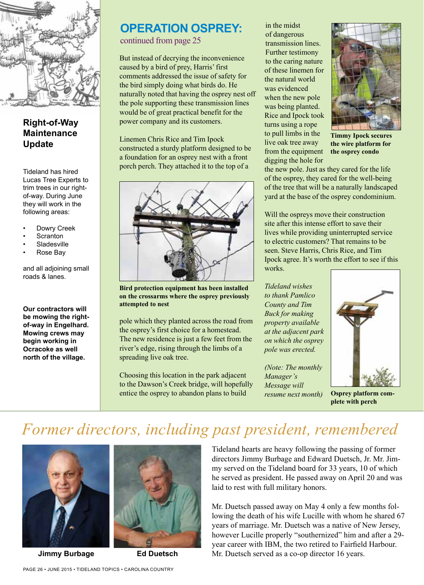

#### **Right-of-Way Maintenance Update**

Tideland has hired Lucas Tree Experts to trim trees in our rightof-way. During June they will work in the following areas:

- Dowry Creek
- **Scranton**
- **Sladesville**
- Rose Bay

and all adjoining small roads & lanes.

**Our contractors will be mowing the rightof-way in Engelhard. Mowing crews may begin working in Ocracoke as well north of the village.** 

#### **OPERATION OSPREY:** continued from page 25

But instead of decrying the inconvenience caused by a bird of prey, Harris' first comments addressed the issue of safety for the bird simply doing what birds do. He naturally noted that having the osprey nest off the pole supporting these transmission lines would be of great practical benefit for the power company and its customers.

Linemen Chris Rice and Tim Ipock constructed a sturdy platform designed to be a foundation for an osprey nest with a front porch perch. They attached it to the top of a



**Bird protection equipment has been installed on the crossarms where the osprey previously attempted to nest**

pole which they planted across the road from the osprey's first choice for a homestead. The new residence is just a few feet from the river's edge, rising through the limbs of a spreading live oak tree.

Choosing this location in the park adjacent to the Dawson's Creek bridge, will hopefully entice the osprey to abandon plans to build

in the midst of dangerous transmission lines. Further testimony to the caring nature of these linemen for the natural world was evidenced when the new pole was being planted. Rice and Ipock took turns using a rope to pull limbs in the live oak tree away from the equipment digging the hole for



**Timmy Ipock secures the wire platform for the osprey condo**

the new pole. Just as they cared for the life of the osprey, they cared for the well-being of the tree that will be a naturally landscaped yard at the base of the osprey condominium.

Will the ospreys move their construction site after this intense effort to save their lives while providing uninterrupted service to electric customers? That remains to be seen. Steve Harris, Chris Rice, and Tim Ipock agree. It's worth the effort to see if this works.

*Tideland wishes to thank Pamlico County and Tim Buck for making property available at the adjacent park on which the osprey pole was erected.*

*(Note: The monthly Manager's Message will resume next month)*



**Osprey platform complete with perch**

### *Former directors, including past president, remembered*



**Jimmy Burbage Ed Duetsch**



Tideland hearts are heavy following the passing of former directors Jimmy Burbage and Edward Duetsch, Jr. Mr. Jimmy served on the Tideland board for 33 years, 10 of which he served as president. He passed away on April 20 and was laid to rest with full military honors.

Mr. Duetsch passed away on May 4 only a few months following the death of his wife Lucille with whom he shared 67 years of marriage. Mr. Duetsch was a native of New Jersey, however Lucille properly "southernized" him and after a 29year career with IBM, the two retired to Fairfield Harbour. Mr. Duetsch served as a co-op director 16 years.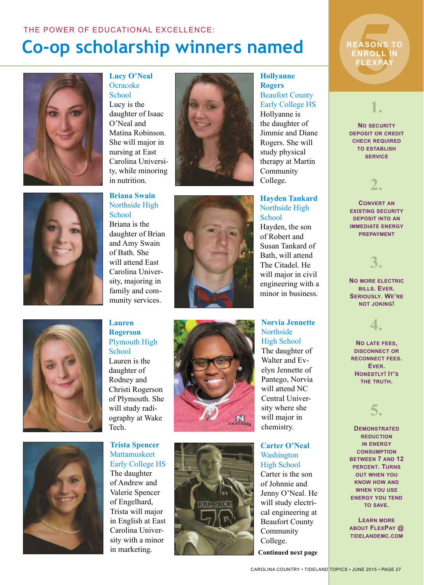# **Co-op scholarship winners named**



**Lucy O'Neal Ocracoke School** Lucy is the daughter of Isaac O'Neal and Matina Robinson. She will major in nursing at East Carolina University, while minoring in nutrition.

**Briana Swain** Northside High

School Briana is the daughter of Brian and Amy Swain of Bath. She will attend East Carolina University, majoring in family and community services.





**Lauren Rogerson** Plymouth High **School** Lauren is the daughter of Rodney and Christi Rogerson of Plymouth. She will study radiography at Wake Tech.

**Trista Spencer** Mattamuskeet Early College HS The daughter of Andrew and Valerie Spencer of Engelhard, Trista will major in English at East Carolina University with a minor in marketing.





**Hollyanne Rogers** Beaufort County Early College HS Hollyanne is the daughter of Jimmie and Diane Rogers. She will study physical therapy at Martin Community College.

**Hayden Tankard** Northside High School

Hayden, the son of Robert and Susan Tankard of Bath, will attend The Citadel. He will major in civil engineering with a minor in business.

#### **Norvia Jennette Northside** High School

The daughter of Walter and Evelyn Jennette of Pantego, Norvia will attend NC Central University where she will major in chemistry.

**Carter O'Neal** Washington High School

Carter is the son of Johnnie and Jenny O'Neal. He will study electrical engineering at Beaufort County Community College.

**Continued next page**

EASONS<br>FIASONS<br>FLEXPAY **REASONS TO ENROLL IN FLEXPAY**

### **1.**

**No security deposit or credit check required to establish service**

### **2.**

**Convert an existing security deposit into an immediate energy prepayment**

### **3.**

**No more electric bills. Ever. Seriously. We're not joking!** 

# **4.**

**No late fees, disconnect or reconnect fees. Ever. Honestly! It's the truth.** 

### **5.**

**Demonstrated reduction in energy consumption between 7 and 12 percent. Turns out when you know how and when you use energy you tend to save.** 

**Learn more about FlexPay @ tidelandemc.com**